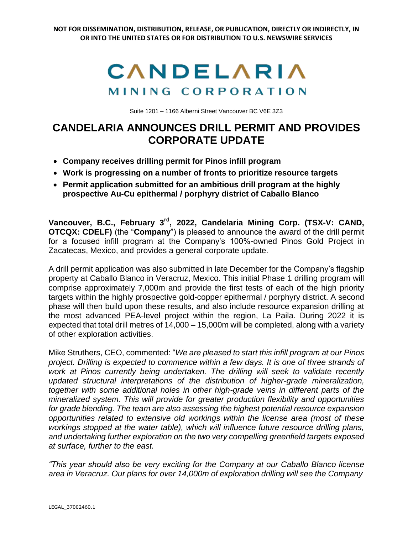

Suite 1201 – 1166 Alberni Street Vancouver BC V6E 3Z3

## **CANDELARIA ANNOUNCES DRILL PERMIT AND PROVIDES CORPORATE UPDATE**

- **Company receives drilling permit for Pinos infill program**
- **Work is progressing on a number of fronts to prioritize resource targets**
- **Permit application submitted for an ambitious drill program at the highly prospective Au-Cu epithermal / porphyry district of Caballo Blanco**

**Vancouver, B.C., February 3 rd , 2022, Candelaria Mining Corp. (TSX-V: CAND, OTCQX: CDELF)** (the "**Company**") is pleased to announce the award of the drill permit for a focused infill program at the Company's 100%-owned Pinos Gold Project in Zacatecas, Mexico, and provides a general corporate update.

A drill permit application was also submitted in late December for the Company's flagship property at Caballo Blanco in Veracruz, Mexico. This initial Phase 1 drilling program will comprise approximately 7,000m and provide the first tests of each of the high priority targets within the highly prospective gold-copper epithermal / porphyry district. A second phase will then build upon these results, and also include resource expansion drilling at the most advanced PEA-level project within the region, La Paila. During 2022 it is expected that total drill metres of 14,000 – 15,000m will be completed, along with a variety of other exploration activities.

Mike Struthers, CEO, commented: "*We are pleased to start this infill program at our Pinos project. Drilling is expected to commence within a few days. It is one of three strands of work at Pinos currently being undertaken. The drilling will seek to validate recently updated structural interpretations of the distribution of higher-grade mineralization, together with some additional holes in other high-grade veins in different parts of the mineralized system. This will provide for greater production flexibility and opportunities for grade blending. The team are also assessing the highest potential resource expansion opportunities related to extensive old workings within the license area (most of these workings stopped at the water table), which will influence future resource drilling plans, and undertaking further exploration on the two very compelling greenfield targets exposed at surface, further to the east.*

*"This year should also be very exciting for the Company at our Caballo Blanco license area in Veracruz. Our plans for over 14,000m of exploration drilling will see the Company*